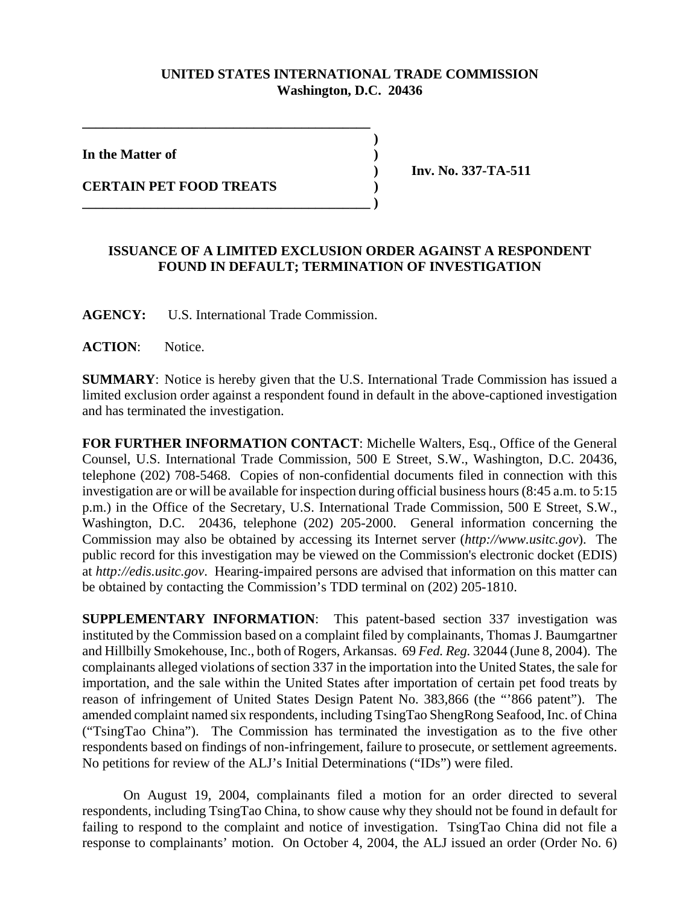## **UNITED STATES INTERNATIONAL TRADE COMMISSION Washington, D.C. 20436**

 **)**

**In the Matter of )**

**CERTAIN PET FOOD TREATS )** 

 **) Inv. No. 337-TA-511**

## **ISSUANCE OF A LIMITED EXCLUSION ORDER AGAINST A RESPONDENT FOUND IN DEFAULT; TERMINATION OF INVESTIGATION**

**AGENCY:** U.S. International Trade Commission.

**\_\_\_\_\_\_\_\_\_\_\_\_\_\_\_\_\_\_\_\_\_\_\_\_\_\_\_\_\_\_\_\_\_\_\_\_\_\_\_\_\_\_**

**\_\_\_\_\_\_\_\_\_\_\_\_\_\_\_\_\_\_\_\_\_\_\_\_\_\_\_\_\_\_\_\_\_\_\_\_\_\_\_\_\_\_ )**

**ACTION**: Notice.

**SUMMARY**: Notice is hereby given that the U.S. International Trade Commission has issued a limited exclusion order against a respondent found in default in the above-captioned investigation and has terminated the investigation.

**FOR FURTHER INFORMATION CONTACT**: Michelle Walters, Esq., Office of the General Counsel, U.S. International Trade Commission, 500 E Street, S.W., Washington, D.C. 20436, telephone (202) 708-5468. Copies of non-confidential documents filed in connection with this investigation are or will be available for inspection during official business hours (8:45 a.m. to 5:15 p.m.) in the Office of the Secretary, U.S. International Trade Commission, 500 E Street, S.W., Washington, D.C. 20436, telephone (202) 205-2000. General information concerning the Commission may also be obtained by accessing its Internet server (*http://www.usitc.gov*). The public record for this investigation may be viewed on the Commission's electronic docket (EDIS) at *http://edis.usitc.gov*. Hearing-impaired persons are advised that information on this matter can be obtained by contacting the Commission's TDD terminal on (202) 205-1810.

**SUPPLEMENTARY INFORMATION**: This patent-based section 337 investigation was instituted by the Commission based on a complaint filed by complainants, Thomas J. Baumgartner and Hillbilly Smokehouse, Inc., both of Rogers, Arkansas. 69 *Fed. Reg.* 32044 (June 8, 2004). The complainants alleged violations of section 337 in the importation into the United States, the sale for importation, and the sale within the United States after importation of certain pet food treats by reason of infringement of United States Design Patent No. 383,866 (the "'866 patent"). The amended complaint named six respondents, including TsingTao ShengRong Seafood, Inc. of China ("TsingTao China"). The Commission has terminated the investigation as to the five other respondents based on findings of non-infringement, failure to prosecute, or settlement agreements. No petitions for review of the ALJ's Initial Determinations ("IDs") were filed.

On August 19, 2004, complainants filed a motion for an order directed to several respondents, including TsingTao China, to show cause why they should not be found in default for failing to respond to the complaint and notice of investigation. TsingTao China did not file a response to complainants' motion. On October 4, 2004, the ALJ issued an order (Order No. 6)